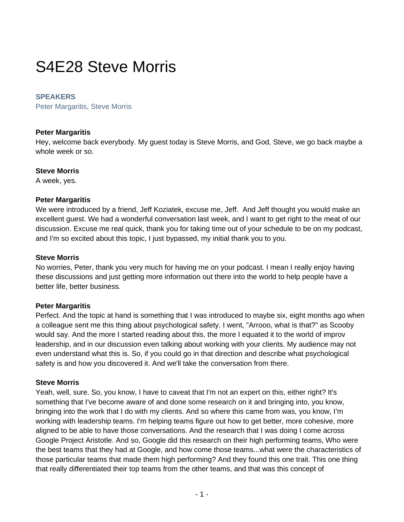# S4E28 Steve Morris

## **SPEAKERS**

Peter Margaritis, Steve Morris

## **Peter Margaritis**

Hey, welcome back everybody. My guest today is Steve Morris, and God, Steve, we go back maybe a whole week or so.

## **Steve Morris**

A week, yes.

## **Peter Margaritis**

We were introduced by a friend, Jeff Koziatek, excuse me, Jeff. And Jeff thought you would make an excellent guest. We had a wonderful conversation last week, and I want to get right to the meat of our discussion. Excuse me real quick, thank you for taking time out of your schedule to be on my podcast, and I'm so excited about this topic, I just bypassed, my initial thank you to you.

## **Steve Morris**

No worries, Peter, thank you very much for having me on your podcast. I mean I really enjoy having these discussions and just getting more information out there into the world to help people have a better life, better business.

## **Peter Margaritis**

Perfect. And the topic at hand is something that I was introduced to maybe six, eight months ago when a colleague sent me this thing about psychological safety. I went, "Arrooo, what is that?" as Scooby would say. And the more I started reading about this, the more I equated it to the world of improv leadership, and in our discussion even talking about working with your clients. My audience may not even understand what this is. So, if you could go in that direction and describe what psychological safety is and how you discovered it. And we'll take the conversation from there.

## **Steve Morris**

Yeah, well, sure. So, you know, I have to caveat that I'm not an expert on this, either right? It's something that I've become aware of and done some research on it and bringing into, you know, bringing into the work that I do with my clients. And so where this came from was, you know, I'm working with leadership teams. I'm helping teams figure out how to get better, more cohesive, more aligned to be able to have those conversations. And the research that I was doing I come across Google Project Aristotle. And so, Google did this research on their high performing teams, Who were the best teams that they had at Google, and how come those teams...what were the characteristics of those particular teams that made them high performing? And they found this one trait. This one thing that really differentiated their top teams from the other teams, and that was this concept of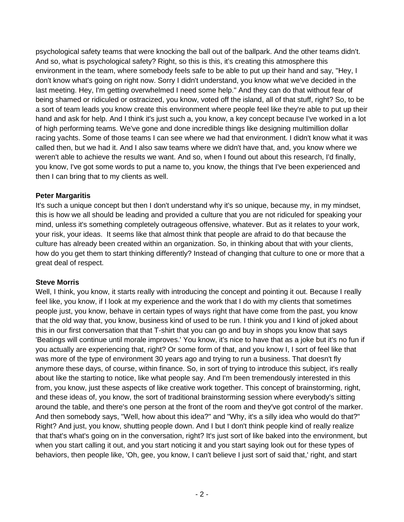psychological safety teams that were knocking the ball out of the ballpark. And the other teams didn't. And so, what is psychological safety? Right, so this is this, it's creating this atmosphere this environment in the team, where somebody feels safe to be able to put up their hand and say, "Hey, I don't know what's going on right now. Sorry I didn't understand, you know what we've decided in the last meeting. Hey, I'm getting overwhelmed I need some help." And they can do that without fear of being shamed or ridiculed or ostracized, you know, voted off the island, all of that stuff, right? So, to be a sort of team leads you know create this environment where people feel like they're able to put up their hand and ask for help. And I think it's just such a, you know, a key concept because I've worked in a lot of high performing teams. We've gone and done incredible things like designing multimillion dollar racing yachts. Some of those teams I can see where we had that environment. I didn't know what it was called then, but we had it. And I also saw teams where we didn't have that, and, you know where we weren't able to achieve the results we want. And so, when I found out about this research, I'd finally, you know, I've got some words to put a name to, you know, the things that I've been experienced and then I can bring that to my clients as well.

## **Peter Margaritis**

It's such a unique concept but then I don't understand why it's so unique, because my, in my mindset, this is how we all should be leading and provided a culture that you are not ridiculed for speaking your mind, unless it's something completely outrageous offensive, whatever. But as it relates to your work, your risk, your ideas. It seems like that almost think that people are afraid to do that because the culture has already been created within an organization. So, in thinking about that with your clients, how do you get them to start thinking differently? Instead of changing that culture to one or more that a great deal of respect.

## **Steve Morris**

Well, I think, you know, it starts really with introducing the concept and pointing it out. Because I really feel like, you know, if I look at my experience and the work that I do with my clients that sometimes people just, you know, behave in certain types of ways right that have come from the past, you know that the old way that, you know, business kind of used to be run. I think you and I kind of joked about this in our first conversation that that T-shirt that you can go and buy in shops you know that says 'Beatings will continue until morale improves.' You know, it's nice to have that as a joke but it's no fun if you actually are experiencing that, right? Or some form of that, and you know I, I sort of feel like that was more of the type of environment 30 years ago and trying to run a business. That doesn't fly anymore these days, of course, within finance. So, in sort of trying to introduce this subject, it's really about like the starting to notice, like what people say. And I'm been tremendously interested in this from, you know, just these aspects of like creative work together. This concept of brainstorming, right, and these ideas of, you know, the sort of traditional brainstorming session where everybody's sitting around the table, and there's one person at the front of the room and they've got control of the marker. And then somebody says, "Well, how about this idea?" and "Why, it's a silly idea who would do that?" Right? And just, you know, shutting people down. And I but I don't think people kind of really realize that that's what's going on in the conversation, right? It's just sort of like baked into the environment, but when you start calling it out, and you start noticing it and you start saying look out for these types of behaviors, then people like, 'Oh, gee, you know, I can't believe I just sort of said that,' right, and start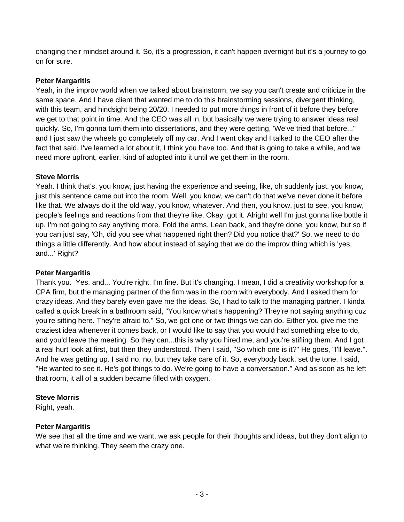changing their mindset around it. So, it's a progression, it can't happen overnight but it's a journey to go on for sure.

## **Peter Margaritis**

Yeah, in the improv world when we talked about brainstorm, we say you can't create and criticize in the same space. And I have client that wanted me to do this brainstorming sessions, divergent thinking, with this team, and hindsight being 20/20. I needed to put more things in front of it before they before we get to that point in time. And the CEO was all in, but basically we were trying to answer ideas real quickly. So, I'm gonna turn them into dissertations, and they were getting, 'We've tried that before..." and I just saw the wheels go completely off my car. And I went okay and I talked to the CEO after the fact that said, I've learned a lot about it, I think you have too. And that is going to take a while, and we need more upfront, earlier, kind of adopted into it until we get them in the room.

## **Steve Morris**

Yeah. I think that's, you know, just having the experience and seeing, like, oh suddenly just, you know, just this sentence came out into the room. Well, you know, we can't do that we've never done it before like that. We always do it the old way, you know, whatever. And then, you know, just to see, you know, people's feelings and reactions from that they're like, Okay, got it. Alright well I'm just gonna like bottle it up. I'm not going to say anything more. Fold the arms. Lean back, and they're done, you know, but so if you can just say, 'Oh, did you see what happened right then? Did you notice that?' So, we need to do things a little differently. And how about instead of saying that we do the improv thing which is 'yes, and...' Right?

## **Peter Margaritis**

Thank you. Yes, and... You're right. I'm fine. But it's changing. I mean, I did a creativity workshop for a CPA firm, but the managing partner of the firm was in the room with everybody. And I asked them for crazy ideas. And they barely even gave me the ideas. So, I had to talk to the managing partner. I kinda called a quick break in a bathroom said, "You know what's happening? They're not saying anything cuz you're sitting here. They're afraid to." So, we got one or two things we can do. Either you give me the craziest idea whenever it comes back, or I would like to say that you would had something else to do, and you'd leave the meeting. So they can...this is why you hired me, and you're stifling them. And I got a real hurt look at first, but then they understood. Then I said, "So which one is it?" He goes, "I'll leave.". And he was getting up. I said no, no, but they take care of it. So, everybody back, set the tone. I said, "He wanted to see it. He's got things to do. We're going to have a conversation." And as soon as he left that room, it all of a sudden became filled with oxygen.

# **Steve Morris**

Right, yeah.

# **Peter Margaritis**

We see that all the time and we want, we ask people for their thoughts and ideas, but they don't align to what we're thinking. They seem the crazy one.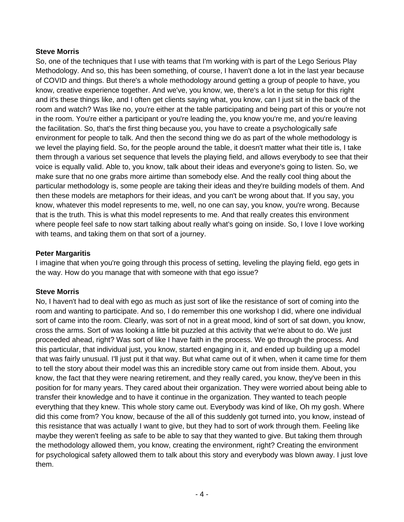#### **Steve Morris**

So, one of the techniques that I use with teams that I'm working with is part of the Lego Serious Play Methodology. And so, this has been something, of course, I haven't done a lot in the last year because of COVID and things. But there's a whole methodology around getting a group of people to have, you know, creative experience together. And we've, you know, we, there's a lot in the setup for this right and it's these things like, and I often get clients saying what, you know, can I just sit in the back of the room and watch? Was like no, you're either at the table participating and being part of this or you're not in the room. You're either a participant or you're leading the, you know you're me, and you're leaving the facilitation. So, that's the first thing because you, you have to create a psychologically safe environment for people to talk. And then the second thing we do as part of the whole methodology is we level the playing field. So, for the people around the table, it doesn't matter what their title is, I take them through a various set sequence that levels the playing field, and allows everybody to see that their voice is equally valid. Able to, you know, talk about their ideas and everyone's going to listen. So, we make sure that no one grabs more airtime than somebody else. And the really cool thing about the particular methodology is, some people are taking their ideas and they're building models of them. And then these models are metaphors for their ideas, and you can't be wrong about that. If you say, you know, whatever this model represents to me, well, no one can say, you know, you're wrong. Because that is the truth. This is what this model represents to me. And that really creates this environment where people feel safe to now start talking about really what's going on inside. So, I love I love working with teams, and taking them on that sort of a journey.

## **Peter Margaritis**

I imagine that when you're going through this process of setting, leveling the playing field, ego gets in the way. How do you manage that with someone with that ego issue?

## **Steve Morris**

No, I haven't had to deal with ego as much as just sort of like the resistance of sort of coming into the room and wanting to participate. And so, I do remember this one workshop I did, where one individual sort of came into the room. Clearly, was sort of not in a great mood, kind of sort of sat down, you know, cross the arms. Sort of was looking a little bit puzzled at this activity that we're about to do. We just proceeded ahead, right? Was sort of like I have faith in the process. We go through the process. And this particular, that individual just, you know, started engaging in it, and ended up building up a model that was fairly unusual. I'll just put it that way. But what came out of it when, when it came time for them to tell the story about their model was this an incredible story came out from inside them. About, you know, the fact that they were nearing retirement, and they really cared, you know, they've been in this position for for many years. They cared about their organization. They were worried about being able to transfer their knowledge and to have it continue in the organization. They wanted to teach people everything that they knew. This whole story came out. Everybody was kind of like, Oh my gosh. Where did this come from? You know, because of the all of this suddenly got turned into, you know, instead of this resistance that was actually I want to give, but they had to sort of work through them. Feeling like maybe they weren't feeling as safe to be able to say that they wanted to give. But taking them through the methodology allowed them, you know, creating the environment, right? Creating the environment for psychological safety allowed them to talk about this story and everybody was blown away. I just love them.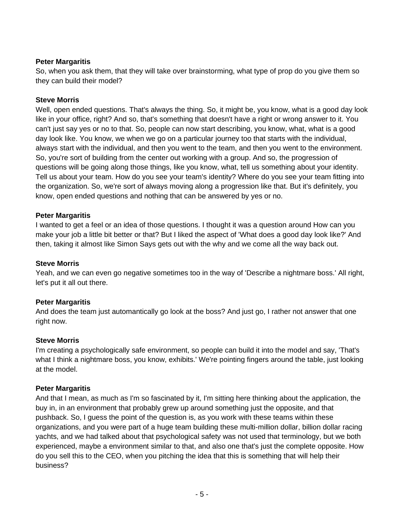So, when you ask them, that they will take over brainstorming, what type of prop do you give them so they can build their model?

## **Steve Morris**

Well, open ended questions. That's always the thing. So, it might be, you know, what is a good day look like in your office, right? And so, that's something that doesn't have a right or wrong answer to it. You can't just say yes or no to that. So, people can now start describing, you know, what, what is a good day look like. You know, we when we go on a particular journey too that starts with the individual, always start with the individual, and then you went to the team, and then you went to the environment. So, you're sort of building from the center out working with a group. And so, the progression of questions will be going along those things, like you know, what, tell us something about your identity. Tell us about your team. How do you see your team's identity? Where do you see your team fitting into the organization. So, we're sort of always moving along a progression like that. But it's definitely, you know, open ended questions and nothing that can be answered by yes or no.

## **Peter Margaritis**

I wanted to get a feel or an idea of those questions. I thought it was a question around How can you make your job a little bit better or that? But I liked the aspect of 'What does a good day look like?' And then, taking it almost like Simon Says gets out with the why and we come all the way back out.

#### **Steve Morris**

Yeah, and we can even go negative sometimes too in the way of 'Describe a nightmare boss.' All right, let's put it all out there.

## **Peter Margaritis**

And does the team just automantically go look at the boss? And just go, I rather not answer that one right now.

#### **Steve Morris**

I'm creating a psychologically safe environment, so people can build it into the model and say, 'That's what I think a nightmare boss, you know, exhibits.' We're pointing fingers around the table, just looking at the model.

#### **Peter Margaritis**

And that I mean, as much as I'm so fascinated by it, I'm sitting here thinking about the application, the buy in, in an environment that probably grew up around something just the opposite, and that pushback. So, I guess the point of the question is, as you work with these teams within these organizations, and you were part of a huge team building these multi-million dollar, billion dollar racing yachts, and we had talked about that psychological safety was not used that terminology, but we both experienced, maybe a environment similar to that, and also one that's just the complete opposite. How do you sell this to the CEO, when you pitching the idea that this is something that will help their business?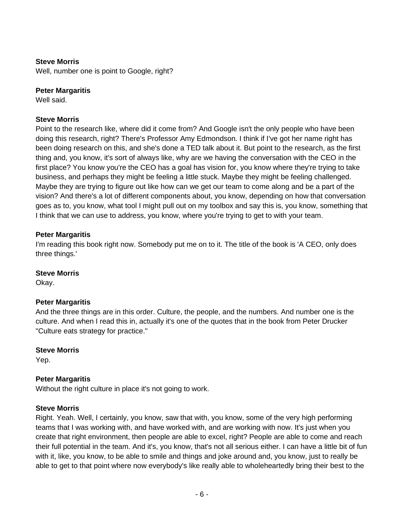## **Steve Morris**

Well, number one is point to Google, right?

#### **Peter Margaritis**

Well said.

#### **Steve Morris**

Point to the research like, where did it come from? And Google isn't the only people who have been doing this research, right? There's Professor Amy Edmondson. I think if I've got her name right has been doing research on this, and she's done a TED talk about it. But point to the research, as the first thing and, you know, it's sort of always like, why are we having the conversation with the CEO in the first place? You know you're the CEO has a goal has vision for, you know where they're trying to take business, and perhaps they might be feeling a little stuck. Maybe they might be feeling challenged. Maybe they are trying to figure out like how can we get our team to come along and be a part of the vision? And there's a lot of different components about, you know, depending on how that conversation goes as to, you know, what tool I might pull out on my toolbox and say this is, you know, something that I think that we can use to address, you know, where you're trying to get to with your team.

#### **Peter Margaritis**

I'm reading this book right now. Somebody put me on to it. The title of the book is 'A CEO, only does three things.'

#### **Steve Morris**

Okay.

#### **Peter Margaritis**

And the three things are in this order. Culture, the people, and the numbers. And number one is the culture. And when I read this in, actually it's one of the quotes that in the book from Peter Drucker "Culture eats strategy for practice."

#### **Steve Morris**

Yep.

#### **Peter Margaritis**

Without the right culture in place it's not going to work.

#### **Steve Morris**

Right. Yeah. Well, I certainly, you know, saw that with, you know, some of the very high performing teams that I was working with, and have worked with, and are working with now. It's just when you create that right environment, then people are able to excel, right? People are able to come and reach their full potential in the team. And it's, you know, that's not all serious either. I can have a little bit of fun with it, like, you know, to be able to smile and things and joke around and, you know, just to really be able to get to that point where now everybody's like really able to wholeheartedly bring their best to the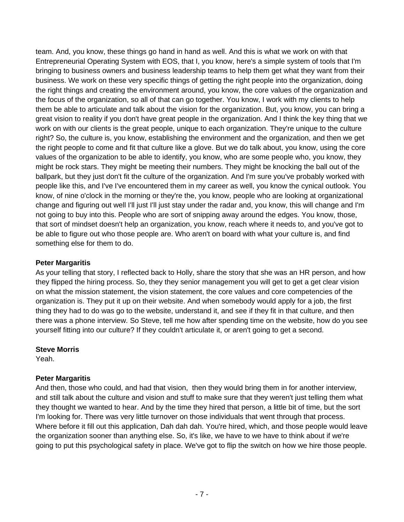team. And, you know, these things go hand in hand as well. And this is what we work on with that Entrepreneurial Operating System with EOS, that I, you know, here's a simple system of tools that I'm bringing to business owners and business leadership teams to help them get what they want from their business. We work on these very specific things of getting the right people into the organization, doing the right things and creating the environment around, you know, the core values of the organization and the focus of the organization, so all of that can go together. You know, I work with my clients to help them be able to articulate and talk about the vision for the organization. But, you know, you can bring a great vision to reality if you don't have great people in the organization. And I think the key thing that we work on with our clients is the great people, unique to each organization. They're unique to the culture right? So, the culture is, you know, establishing the environment and the organization, and then we get the right people to come and fit that culture like a glove. But we do talk about, you know, using the core values of the organization to be able to identify, you know, who are some people who, you know, they might be rock stars. They might be meeting their numbers. They might be knocking the ball out of the ballpark, but they just don't fit the culture of the organization. And I'm sure you've probably worked with people like this, and I've I've encountered them in my career as well, you know the cynical outlook. You know, of nine o'clock in the morning or they're the, you know, people who are looking at organizational change and figuring out well I'll just I'll just stay under the radar and, you know, this will change and I'm not going to buy into this. People who are sort of snipping away around the edges. You know, those, that sort of mindset doesn't help an organization, you know, reach where it needs to, and you've got to be able to figure out who those people are. Who aren't on board with what your culture is, and find something else for them to do.

## **Peter Margaritis**

As your telling that story, I reflected back to Holly, share the story that she was an HR person, and how they flipped the hiring process. So, they they senior management you will get to get a get clear vision on what the mission statement, the vision statement, the core values and core competencies of the organization is. They put it up on their website. And when somebody would apply for a job, the first thing they had to do was go to the website, understand it, and see if they fit in that culture, and then there was a phone interview. So Steve, tell me how after spending time on the website, how do you see yourself fitting into our culture? If they couldn't articulate it, or aren't going to get a second.

## **Steve Morris**

Yeah.

## **Peter Margaritis**

And then, those who could, and had that vision, then they would bring them in for another interview, and still talk about the culture and vision and stuff to make sure that they weren't just telling them what they thought we wanted to hear. And by the time they hired that person, a little bit of time, but the sort I'm looking for. There was very little turnover on those individuals that went through that process. Where before it fill out this application, Dah dah dah. You're hired, which, and those people would leave the organization sooner than anything else. So, it's like, we have to we have to think about if we're going to put this psychological safety in place. We've got to flip the switch on how we hire those people.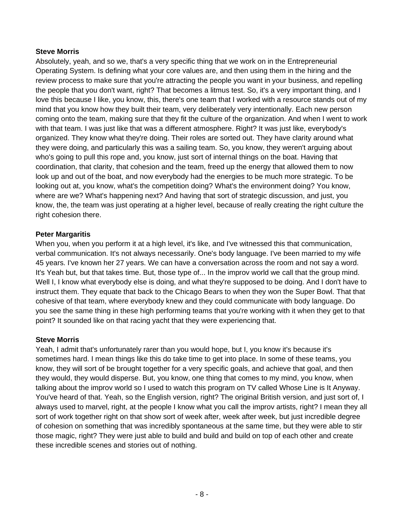## **Steve Morris**

Absolutely, yeah, and so we, that's a very specific thing that we work on in the Entrepreneurial Operating System. Is defining what your core values are, and then using them in the hiring and the review process to make sure that you're attracting the people you want in your business, and repelling the people that you don't want, right? That becomes a litmus test. So, it's a very important thing, and I love this because I like, you know, this, there's one team that I worked with a resource stands out of my mind that you know how they built their team, very deliberately very intentionally. Each new person coming onto the team, making sure that they fit the culture of the organization. And when I went to work with that team. I was just like that was a different atmosphere. Right? It was just like, everybody's organized. They know what they're doing. Their roles are sorted out. They have clarity around what they were doing, and particularly this was a sailing team. So, you know, they weren't arguing about who's going to pull this rope and, you know, just sort of internal things on the boat. Having that coordination, that clarity, that cohesion and the team, freed up the energy that allowed them to now look up and out of the boat, and now everybody had the energies to be much more strategic. To be looking out at, you know, what's the competition doing? What's the environment doing? You know, where are we? What's happening next? And having that sort of strategic discussion, and just, you know, the, the team was just operating at a higher level, because of really creating the right culture the right cohesion there.

## **Peter Margaritis**

When you, when you perform it at a high level, it's like, and I've witnessed this that communication, verbal communication. It's not always necessarily. One's body language. I've been married to my wife 45 years. I've known her 27 years. We can have a conversation across the room and not say a word. It's Yeah but, but that takes time. But, those type of... In the improv world we call that the group mind. Well I, I know what everybody else is doing, and what they're supposed to be doing. And I don't have to instruct them. They equate that back to the Chicago Bears to when they won the Super Bowl. That that cohesive of that team, where everybody knew and they could communicate with body language. Do you see the same thing in these high performing teams that you're working with it when they get to that point? It sounded like on that racing yacht that they were experiencing that.

## **Steve Morris**

Yeah, I admit that's unfortunately rarer than you would hope, but I, you know it's because it's sometimes hard. I mean things like this do take time to get into place. In some of these teams, you know, they will sort of be brought together for a very specific goals, and achieve that goal, and then they would, they would disperse. But, you know, one thing that comes to my mind, you know, when talking about the improv world so I used to watch this program on TV called Whose Line is It Anyway. You've heard of that. Yeah, so the English version, right? The original British version, and just sort of, I always used to marvel, right, at the people I know what you call the improv artists, right? I mean they all sort of work together right on that show sort of week after, week after week, but just incredible degree of cohesion on something that was incredibly spontaneous at the same time, but they were able to stir those magic, right? They were just able to build and build and build on top of each other and create these incredible scenes and stories out of nothing.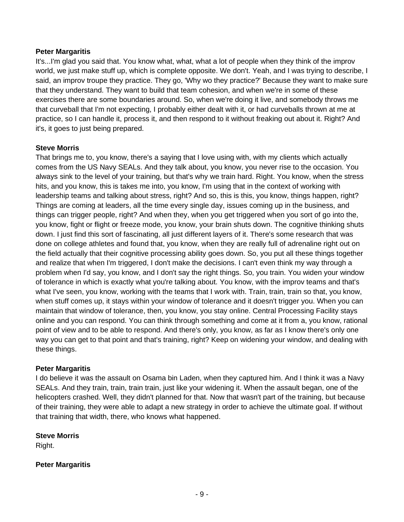It's...I'm glad you said that. You know what, what, what a lot of people when they think of the improv world, we just make stuff up, which is complete opposite. We don't. Yeah, and I was trying to describe, I said, an improv troupe they practice. They go, 'Why wo they practice?' Because they want to make sure that they understand. They want to build that team cohesion, and when we're in some of these exercises there are some boundaries around. So, when we're doing it live, and somebody throws me that curveball that I'm not expecting, I probably either dealt with it, or had curveballs thrown at me at practice, so I can handle it, process it, and then respond to it without freaking out about it. Right? And it's, it goes to just being prepared.

#### **Steve Morris**

That brings me to, you know, there's a saying that I love using with, with my clients which actually comes from the US Navy SEALs. And they talk about, you know, you never rise to the occasion. You always sink to the level of your training, but that's why we train hard. Right. You know, when the stress hits, and you know, this is takes me into, you know, I'm using that in the context of working with leadership teams and talking about stress, right? And so, this is this, you know, things happen, right? Things are coming at leaders, all the time every single day, issues coming up in the business, and things can trigger people, right? And when they, when you get triggered when you sort of go into the, you know, fight or flight or freeze mode, you know, your brain shuts down. The cognitive thinking shuts down. I just find this sort of fascinating, all just different layers of it. There's some research that was done on college athletes and found that, you know, when they are really full of adrenaline right out on the field actually that their cognitive processing ability goes down. So, you put all these things together and realize that when I'm triggered, I don't make the decisions. I can't even think my way through a problem when I'd say, you know, and I don't say the right things. So, you train. You widen your window of tolerance in which is exactly what you're talking about. You know, with the improv teams and that's what I've seen, you know, working with the teams that I work with. Train, train, train so that, you know, when stuff comes up, it stays within your window of tolerance and it doesn't trigger you. When you can maintain that window of tolerance, then, you know, you stay online. Central Processing Facility stays online and you can respond. You can think through something and come at it from a, you know, rational point of view and to be able to respond. And there's only, you know, as far as I know there's only one way you can get to that point and that's training, right? Keep on widening your window, and dealing with these things.

#### **Peter Margaritis**

I do believe it was the assault on Osama bin Laden, when they captured him. And I think it was a Navy SEALs. And they train, train, train train, just like your widening it. When the assault began, one of the helicopters crashed. Well, they didn't planned for that. Now that wasn't part of the training, but because of their training, they were able to adapt a new strategy in order to achieve the ultimate goal. If without that training that width, there, who knows what happened.

#### **Steve Morris**

Right.

#### **Peter Margaritis**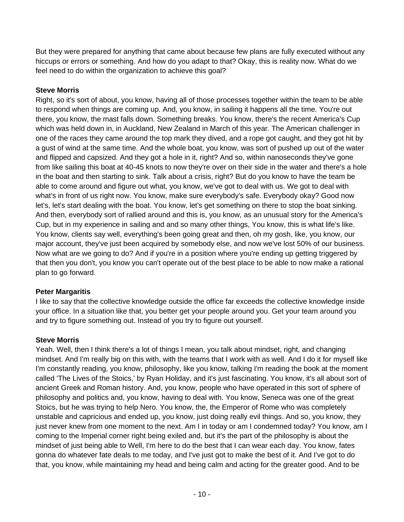But they were prepared for anything that came about because few plans are fully executed without any hiccups or errors or something. And how do you adapt to that? Okay, this is reality now. What do we feel need to do within the organization to achieve this goal?

## **Steve Morris**

Right, so it's sort of about, you know, having all of those processes together within the team to be able to respond when things are coming up. And, you know, in sailing it happens all the time. You're out there, you know, the mast falls down. Something breaks. You know, there's the recent America's Cup which was held down in, in Auckland, New Zealand in March of this year. The American challenger in one of the races they came around the top mark they dived, and a rope got caught, and they got hit by a gust of wind at the same time. And the whole boat, you know, was sort of pushed up out of the water and flipped and capsized. And they got a hole in it, right? And so, within nanoseconds they've gone from like sailing this boat at 40-45 knots to now they're over on their side in the water and there's a hole in the boat and then starting to sink. Talk about a crisis, right? But do you know to have the team be able to come around and figure out what, you know, we've got to deal with us. We got to deal with what's in front of us right now. You know, make sure everybody's safe. Everybody okay? Good now let's, let's start dealing with the boat. You know, let's get something on there to stop the boat sinking. And then, everybody sort of rallied around and this is, you know, as an unusual story for the America's Cup, but in my experience in sailing and and so many other things, You know, this is what life's like. You know, clients say well, everything's been going great and then, oh my gosh, like, you know, our major account, they've just been acquired by somebody else, and now we've lost 50% of our business. Now what are we going to do? And if you're in a position where you're ending up getting triggered by that then you don't, you know you can't operate out of the best place to be able to now make a rational plan to go forward.

# **Peter Margaritis**

I like to say that the collective knowledge outside the office far exceeds the collective knowledge inside your office. In a situation like that, you better get your people around you. Get your team around you and try to figure something out. Instead of you try to figure out yourself.

# **Steve Morris**

Yeah. Well, then I think there's a lot of things I mean, you talk about mindset, right, and changing mindset. And I'm really big on this with, with the teams that I work with as well. And I do it for myself like I'm constantly reading, you know, philosophy, like you know, talking I'm reading the book at the moment called 'The Lives of the Stoics,' by Ryan Holiday, and it's just fascinating. You know, it's all about sort of ancient Greek and Roman history. And, you know, people who have operated in this sort of sphere of philosophy and politics and, you know, having to deal with. You know, Seneca was one of the great Stoics, but he was trying to help Nero. You know, the, the Emperor of Rome who was completely unstable and capricious and ended up, you know, just doing really evil things. And so, you know, they just never knew from one moment to the next. Am I in today or am I condemned today? You know, am I coming to the Imperial corner right being exiled and, but it's the part of the philosophy is about the mindset of just being able to Well, I'm here to do the best that I can wear each day. You know, fates gonna do whatever fate deals to me today, and I've just got to make the best of it. And I've got to do that, you know, while maintaining my head and being calm and acting for the greater good. And to be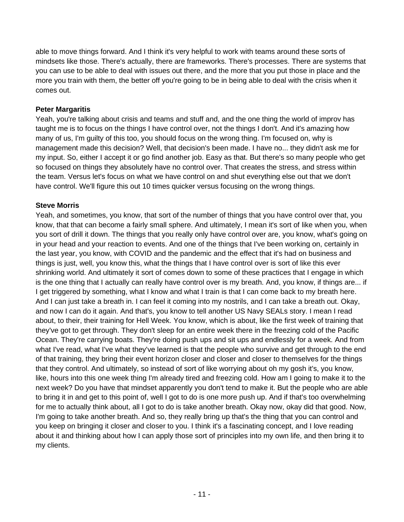able to move things forward. And I think it's very helpful to work with teams around these sorts of mindsets like those. There's actually, there are frameworks. There's processes. There are systems that you can use to be able to deal with issues out there, and the more that you put those in place and the more you train with them, the better off you're going to be in being able to deal with the crisis when it comes out.

## **Peter Margaritis**

Yeah, you're talking about crisis and teams and stuff and, and the one thing the world of improv has taught me is to focus on the things I have control over, not the things I don't. And it's amazing how many of us, I'm guilty of this too, you should focus on the wrong thing. I'm focused on, why is management made this decision? Well, that decision's been made. I have no... they didn't ask me for my input. So, either I accept it or go find another job. Easy as that. But there's so many people who get so focused on things they absolutely have no control over. That creates the stress, and stress within the team. Versus let's focus on what we have control on and shut everything else out that we don't have control. We'll figure this out 10 times quicker versus focusing on the wrong things.

## **Steve Morris**

Yeah, and sometimes, you know, that sort of the number of things that you have control over that, you know, that that can become a fairly small sphere. And ultimately, I mean it's sort of like when you, when you sort of drill it down. The things that you really only have control over are, you know, what's going on in your head and your reaction to events. And one of the things that I've been working on, certainly in the last year, you know, with COVID and the pandemic and the effect that it's had on business and things is just, well, you know this, what the things that I have control over is sort of like this ever shrinking world. And ultimately it sort of comes down to some of these practices that I engage in which is the one thing that I actually can really have control over is my breath. And, you know, if things are... if I get triggered by something, what I know and what I train is that I can come back to my breath here. And I can just take a breath in. I can feel it coming into my nostrils, and I can take a breath out. Okay, and now I can do it again. And that's, you know to tell another US Navy SEALs story. I mean I read about, to their, their training for Hell Week. You know, which is about, like the first week of training that they've got to get through. They don't sleep for an entire week there in the freezing cold of the Pacific Ocean. They're carrying boats. They're doing push ups and sit ups and endlessly for a week. And from what I've read, what I've what they've learned is that the people who survive and get through to the end of that training, they bring their event horizon closer and closer and closer to themselves for the things that they control. And ultimately, so instead of sort of like worrying about oh my gosh it's, you know, like, hours into this one week thing I'm already tired and freezing cold. How am I going to make it to the next week? Do you have that mindset apparently you don't tend to make it. But the people who are able to bring it in and get to this point of, well I got to do is one more push up. And if that's too overwhelming for me to actually think about, all I got to do is take another breath. Okay now, okay did that good. Now, I'm going to take another breath. And so, they really bring up that's the thing that you can control and you keep on bringing it closer and closer to you. I think it's a fascinating concept, and I love reading about it and thinking about how I can apply those sort of principles into my own life, and then bring it to my clients.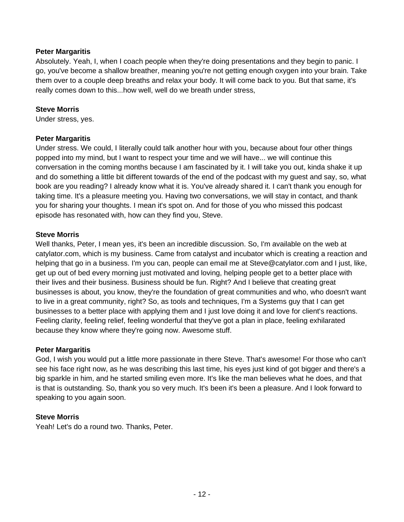Absolutely. Yeah, I, when I coach people when they're doing presentations and they begin to panic. I go, you've become a shallow breather, meaning you're not getting enough oxygen into your brain. Take them over to a couple deep breaths and relax your body. It will come back to you. But that same, it's really comes down to this...how well, well do we breath under stress,

#### **Steve Morris**

Under stress, yes.

#### **Peter Margaritis**

Under stress. We could, I literally could talk another hour with you, because about four other things popped into my mind, but I want to respect your time and we will have... we will continue this conversation in the coming months because I am fascinated by it. I will take you out, kinda shake it up and do something a little bit different towards of the end of the podcast with my guest and say, so, what book are you reading? I already know what it is. You've already shared it. I can't thank you enough for taking time. It's a pleasure meeting you. Having two conversations, we will stay in contact, and thank you for sharing your thoughts. I mean it's spot on. And for those of you who missed this podcast episode has resonated with, how can they find you, Steve.

#### **Steve Morris**

Well thanks, Peter, I mean yes, it's been an incredible discussion. So, I'm available on the web at catylator.com, which is my business. Came from catalyst and incubator which is creating a reaction and helping that go in a business. I'm you can, people can email me at Steve@catylator.com and I just, like, get up out of bed every morning just motivated and loving, helping people get to a better place with their lives and their business. Business should be fun. Right? And I believe that creating great businesses is about, you know, they're the foundation of great communities and who, who doesn't want to live in a great community, right? So, as tools and techniques, I'm a Systems guy that I can get businesses to a better place with applying them and I just love doing it and love for client's reactions. Feeling clarity, feeling relief, feeling wonderful that they've got a plan in place, feeling exhilarated because they know where they're going now. Awesome stuff.

#### **Peter Margaritis**

God, I wish you would put a little more passionate in there Steve. That's awesome! For those who can't see his face right now, as he was describing this last time, his eyes just kind of got bigger and there's a big sparkle in him, and he started smiling even more. It's like the man believes what he does, and that is that is outstanding. So, thank you so very much. It's been it's been a pleasure. And I look forward to speaking to you again soon.

#### **Steve Morris**

Yeah! Let's do a round two. Thanks, Peter.